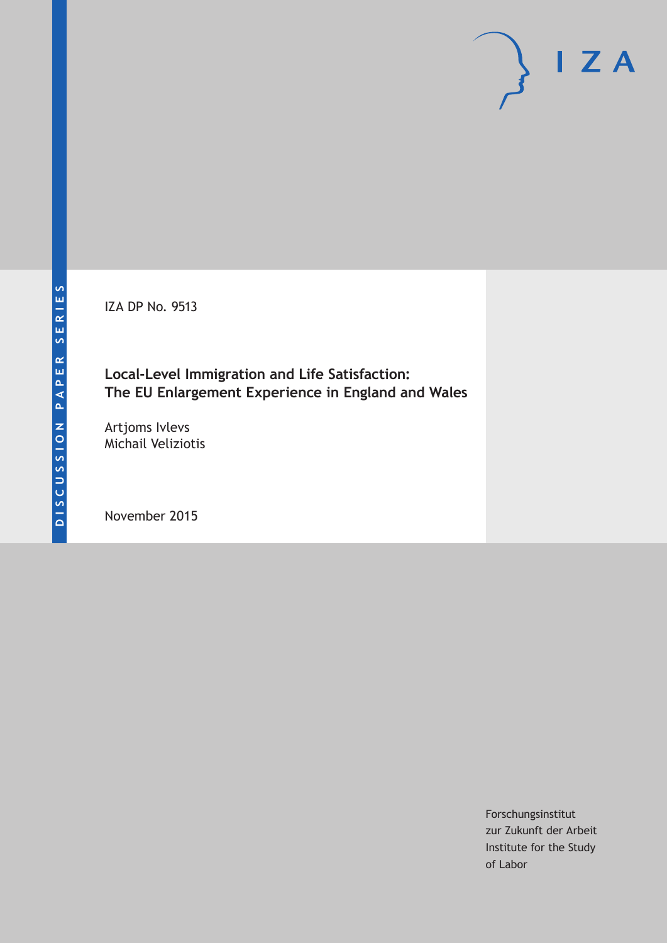IZA DP No. 9513

**Local-Level Immigration and Life Satisfaction: The EU Enlargement Experience in England and Wales**

Artjoms Ivlevs Michail Veliziotis

November 2015

Forschungsinstitut zur Zukunft der Arbeit Institute for the Study of Labor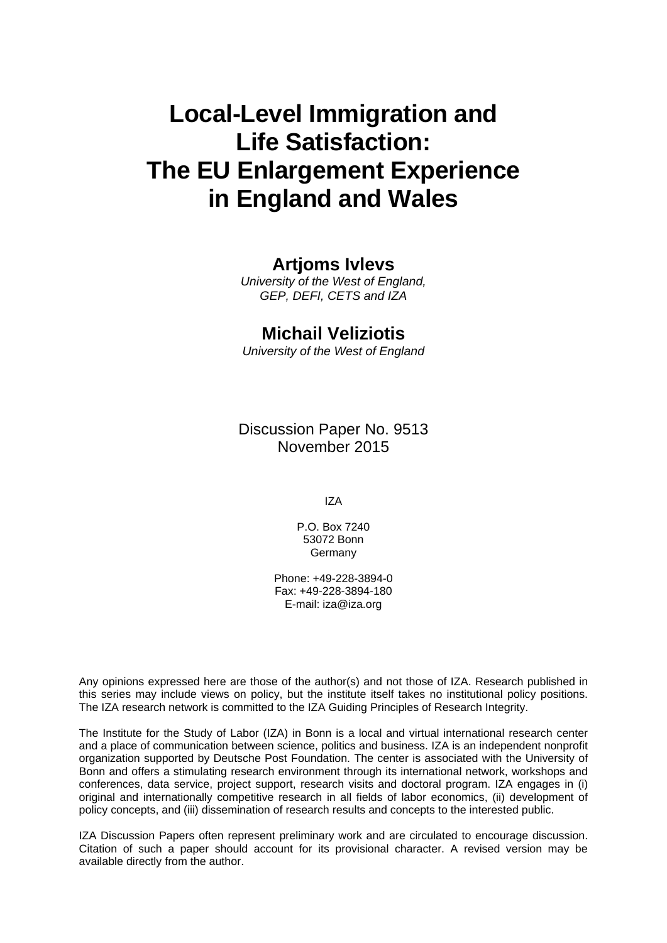# **Local-Level Immigration and Life Satisfaction: The EU Enlargement Experience in England and Wales**

### **Artjoms Ivlevs**

*University of the West of England, GEP, DEFI, CETS and IZA* 

### **Michail Veliziotis**

*University of the West of England* 

Discussion Paper No. 9513 November 2015

IZA

P.O. Box 7240 53072 Bonn Germany

Phone: +49-228-3894-0 Fax: +49-228-3894-180 E-mail: iza@iza.org

Any opinions expressed here are those of the author(s) and not those of IZA. Research published in this series may include views on policy, but the institute itself takes no institutional policy positions. The IZA research network is committed to the IZA Guiding Principles of Research Integrity.

The Institute for the Study of Labor (IZA) in Bonn is a local and virtual international research center and a place of communication between science, politics and business. IZA is an independent nonprofit organization supported by Deutsche Post Foundation. The center is associated with the University of Bonn and offers a stimulating research environment through its international network, workshops and conferences, data service, project support, research visits and doctoral program. IZA engages in (i) original and internationally competitive research in all fields of labor economics, (ii) development of policy concepts, and (iii) dissemination of research results and concepts to the interested public.

IZA Discussion Papers often represent preliminary work and are circulated to encourage discussion. Citation of such a paper should account for its provisional character. A revised version may be available directly from the author.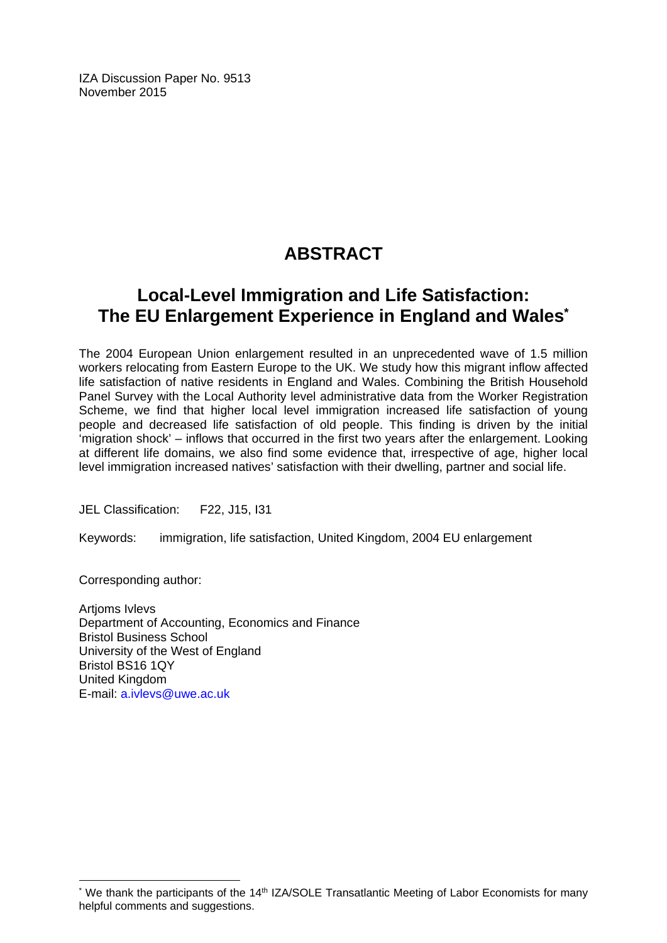IZA Discussion Paper No. 9513 November 2015

## **ABSTRACT**

### **Local-Level Immigration and Life Satisfaction: The EU Enlargement Experience in England and Wales\***

The 2004 European Union enlargement resulted in an unprecedented wave of 1.5 million workers relocating from Eastern Europe to the UK. We study how this migrant inflow affected life satisfaction of native residents in England and Wales. Combining the British Household Panel Survey with the Local Authority level administrative data from the Worker Registration Scheme, we find that higher local level immigration increased life satisfaction of young people and decreased life satisfaction of old people. This finding is driven by the initial 'migration shock' – inflows that occurred in the first two years after the enlargement. Looking at different life domains, we also find some evidence that, irrespective of age, higher local level immigration increased natives' satisfaction with their dwelling, partner and social life.

JEL Classification: F22, J15, I31

Keywords: immigration, life satisfaction, United Kingdom, 2004 EU enlargement

Corresponding author:

 $\overline{\phantom{a}}$ 

Artjoms Ivlevs Department of Accounting, Economics and Finance Bristol Business School University of the West of England Bristol BS16 1QY United Kingdom E-mail: a.ivlevs@uwe.ac.uk

<sup>\*</sup> We thank the participants of the 14<sup>th</sup> IZA/SOLE Transatlantic Meeting of Labor Economists for many helpful comments and suggestions.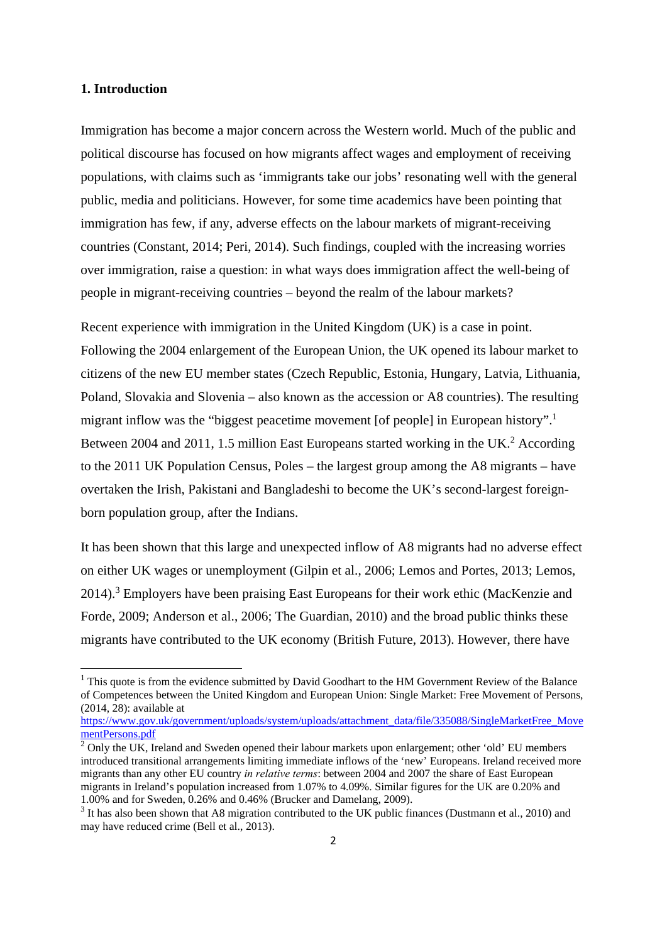#### **1. Introduction**

Immigration has become a major concern across the Western world. Much of the public and political discourse has focused on how migrants affect wages and employment of receiving populations, with claims such as 'immigrants take our jobs' resonating well with the general public, media and politicians. However, for some time academics have been pointing that immigration has few, if any, adverse effects on the labour markets of migrant-receiving countries (Constant, 2014; Peri, 2014). Such findings, coupled with the increasing worries over immigration, raise a question: in what ways does immigration affect the well-being of people in migrant-receiving countries – beyond the realm of the labour markets?

Recent experience with immigration in the United Kingdom (UK) is a case in point. Following the 2004 enlargement of the European Union, the UK opened its labour market to citizens of the new EU member states (Czech Republic, Estonia, Hungary, Latvia, Lithuania, Poland, Slovakia and Slovenia – also known as the accession or A8 countries). The resulting migrant inflow was the "biggest peacetime movement [of people] in European history".<sup>1</sup> Between 2004 and 2011, 1.5 million East Europeans started working in the UK.<sup>2</sup> According to the 2011 UK Population Census, Poles – the largest group among the A8 migrants – have overtaken the Irish, Pakistani and Bangladeshi to become the UK's second-largest foreignborn population group, after the Indians.

It has been shown that this large and unexpected inflow of A8 migrants had no adverse effect on either UK wages or unemployment (Gilpin et al., 2006; Lemos and Portes, 2013; Lemos, 2014).<sup>3</sup> Employers have been praising East Europeans for their work ethic (MacKenzie and Forde, 2009; Anderson et al., 2006; The Guardian, 2010) and the broad public thinks these migrants have contributed to the UK economy (British Future, 2013). However, there have

 $<sup>1</sup>$  This quote is from the evidence submitted by David Goodhart to the HM Government Review of the Balance</sup> of Competences between the United Kingdom and European Union: Single Market: Free Movement of Persons,  $(2014, 28)$ : available at

https://www.gov.uk/government/uploads/system/uploads/attachment\_data/file/335088/SingleMarketFree\_Move mentPersons.pdf

 $2$  Only the UK, Ireland and Sweden opened their labour markets upon enlargement; other 'old' EU members introduced transitional arrangements limiting immediate inflows of the 'new' Europeans. Ireland received more migrants than any other EU country *in relative terms*: between 2004 and 2007 the share of East European migrants in Ireland's population increased from 1.07% to 4.09%. Similar figures for the UK are 0.20% and 1.00% and for Sweden, 0.26% and 0.46% (Brucker and Damelang, 2009).

<sup>&</sup>lt;sup>3</sup> It has also been shown that A8 migration contributed to the UK public finances (Dustmann et al., 2010) and may have reduced crime (Bell et al., 2013).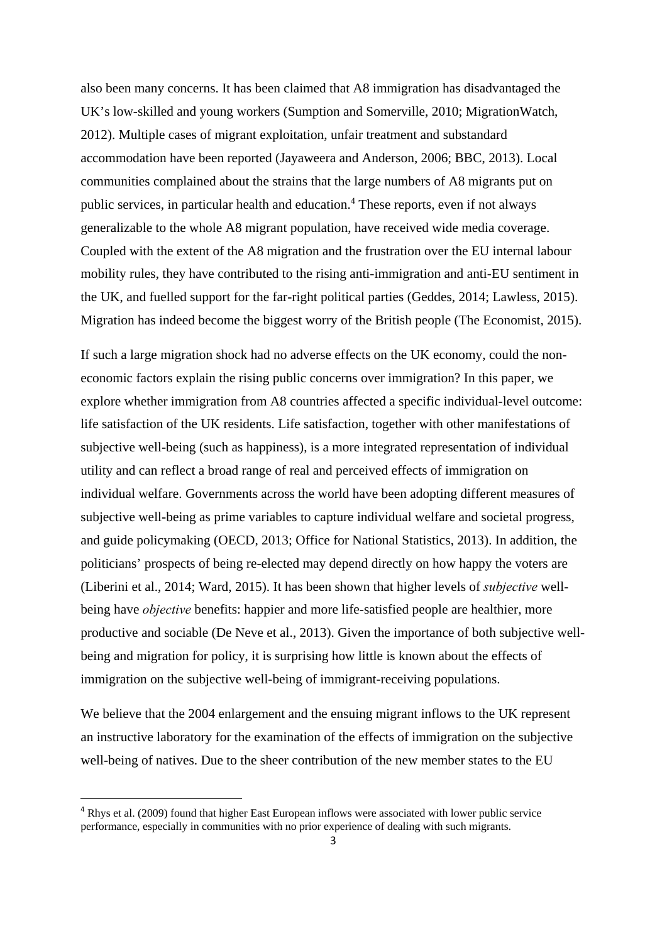also been many concerns. It has been claimed that A8 immigration has disadvantaged the UK's low-skilled and young workers (Sumption and Somerville, 2010; MigrationWatch, 2012). Multiple cases of migrant exploitation, unfair treatment and substandard accommodation have been reported (Jayaweera and Anderson, 2006; BBC, 2013). Local communities complained about the strains that the large numbers of A8 migrants put on public services, in particular health and education.<sup>4</sup> These reports, even if not always generalizable to the whole A8 migrant population, have received wide media coverage. Coupled with the extent of the A8 migration and the frustration over the EU internal labour mobility rules, they have contributed to the rising anti-immigration and anti-EU sentiment in the UK, and fuelled support for the far-right political parties (Geddes, 2014; Lawless, 2015). Migration has indeed become the biggest worry of the British people (The Economist, 2015).

If such a large migration shock had no adverse effects on the UK economy, could the noneconomic factors explain the rising public concerns over immigration? In this paper, we explore whether immigration from A8 countries affected a specific individual-level outcome: life satisfaction of the UK residents. Life satisfaction, together with other manifestations of subjective well-being (such as happiness), is a more integrated representation of individual utility and can reflect a broad range of real and perceived effects of immigration on individual welfare. Governments across the world have been adopting different measures of subjective well-being as prime variables to capture individual welfare and societal progress, and guide policymaking (OECD, 2013; Office for National Statistics, 2013). In addition, the politicians' prospects of being re-elected may depend directly on how happy the voters are (Liberini et al., 2014; Ward, 2015). It has been shown that higher levels of *subjective* wellbeing have *objective* benefits: happier and more life-satisfied people are healthier, more productive and sociable (De Neve et al., 2013). Given the importance of both subjective wellbeing and migration for policy, it is surprising how little is known about the effects of immigration on the subjective well-being of immigrant-receiving populations.

We believe that the 2004 enlargement and the ensuing migrant inflows to the UK represent an instructive laboratory for the examination of the effects of immigration on the subjective well-being of natives. Due to the sheer contribution of the new member states to the EU

<sup>&</sup>lt;sup>4</sup> Rhys et al. (2009) found that higher East European inflows were associated with lower public service performance, especially in communities with no prior experience of dealing with such migrants.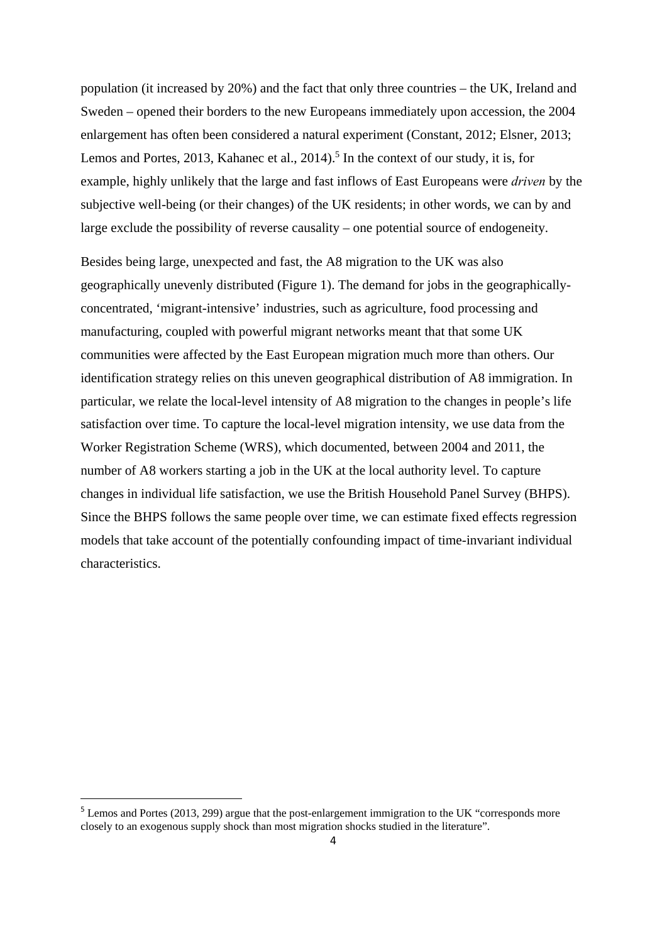population (it increased by 20%) and the fact that only three countries – the UK, Ireland and Sweden – opened their borders to the new Europeans immediately upon accession, the 2004 enlargement has often been considered a natural experiment (Constant, 2012; Elsner, 2013; Lemos and Portes, 2013, Kahanec et al.,  $2014$ <sup>5</sup> In the context of our study, it is, for example, highly unlikely that the large and fast inflows of East Europeans were *driven* by the subjective well-being (or their changes) of the UK residents; in other words, we can by and large exclude the possibility of reverse causality – one potential source of endogeneity.

Besides being large, unexpected and fast, the A8 migration to the UK was also geographically unevenly distributed (Figure 1). The demand for jobs in the geographicallyconcentrated, 'migrant-intensive' industries, such as agriculture, food processing and manufacturing, coupled with powerful migrant networks meant that that some UK communities were affected by the East European migration much more than others. Our identification strategy relies on this uneven geographical distribution of A8 immigration. In particular, we relate the local-level intensity of A8 migration to the changes in people's life satisfaction over time. To capture the local-level migration intensity, we use data from the Worker Registration Scheme (WRS), which documented, between 2004 and 2011, the number of A8 workers starting a job in the UK at the local authority level. To capture changes in individual life satisfaction, we use the British Household Panel Survey (BHPS). Since the BHPS follows the same people over time, we can estimate fixed effects regression models that take account of the potentially confounding impact of time-invariant individual characteristics.

<sup>&</sup>lt;sup>5</sup> Lemos and Portes (2013, 299) argue that the post-enlargement immigration to the UK "corresponds more closely to an exogenous supply shock than most migration shocks studied in the literature".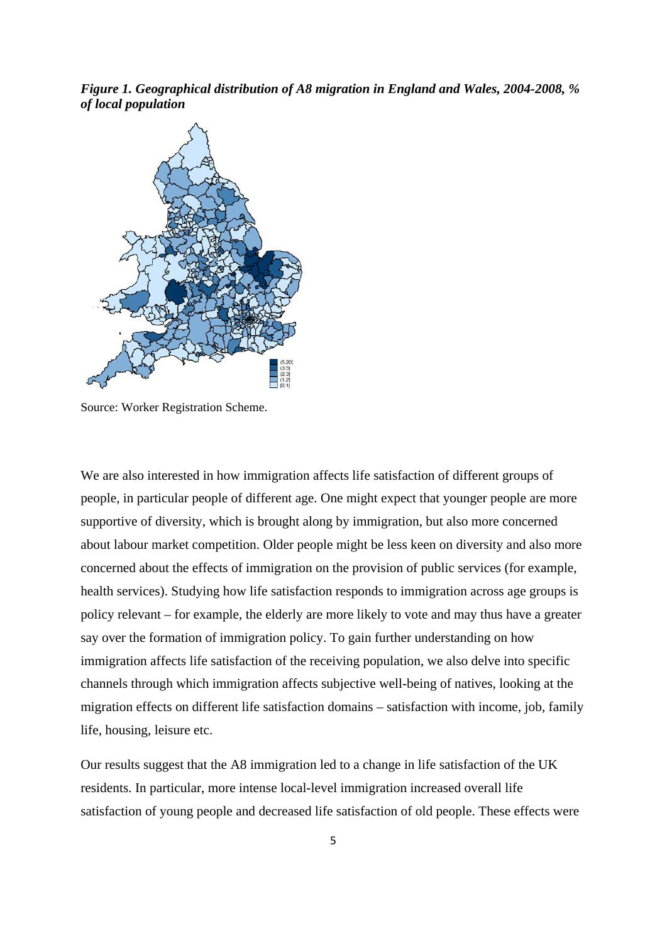*Figure 1. Geographical distribution of A8 migration in England and Wales, 2004-2008, % of local population* 



Source: Worker Registration Scheme.

We are also interested in how immigration affects life satisfaction of different groups of people, in particular people of different age. One might expect that younger people are more supportive of diversity, which is brought along by immigration, but also more concerned about labour market competition. Older people might be less keen on diversity and also more concerned about the effects of immigration on the provision of public services (for example, health services). Studying how life satisfaction responds to immigration across age groups is policy relevant – for example, the elderly are more likely to vote and may thus have a greater say over the formation of immigration policy. To gain further understanding on how immigration affects life satisfaction of the receiving population, we also delve into specific channels through which immigration affects subjective well-being of natives, looking at the migration effects on different life satisfaction domains – satisfaction with income, job, family life, housing, leisure etc.

Our results suggest that the A8 immigration led to a change in life satisfaction of the UK residents. In particular, more intense local-level immigration increased overall life satisfaction of young people and decreased life satisfaction of old people. These effects were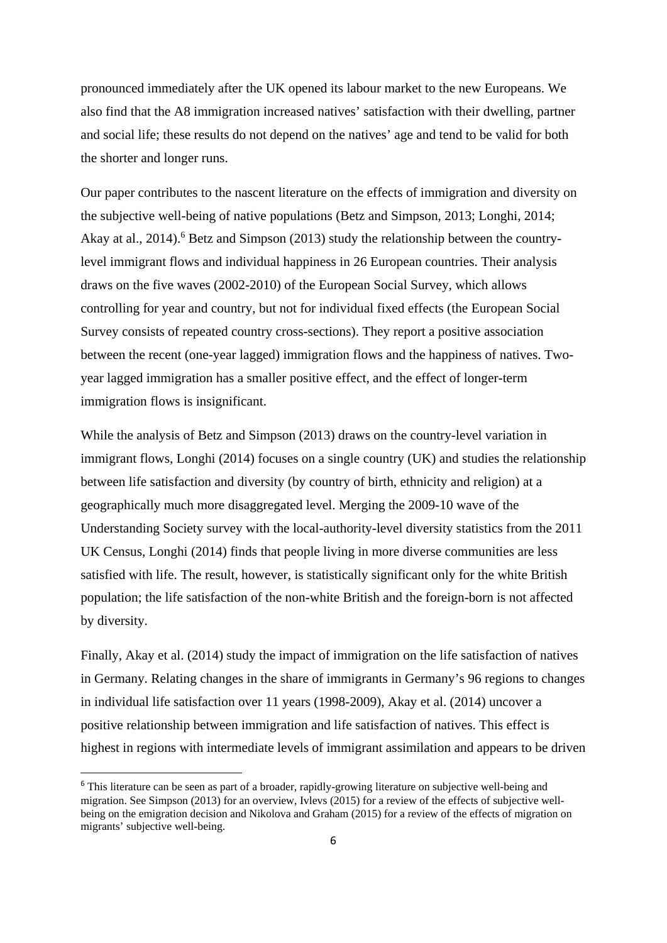pronounced immediately after the UK opened its labour market to the new Europeans. We also find that the A8 immigration increased natives' satisfaction with their dwelling, partner and social life; these results do not depend on the natives' age and tend to be valid for both the shorter and longer runs.

Our paper contributes to the nascent literature on the effects of immigration and diversity on the subjective well-being of native populations (Betz and Simpson, 2013; Longhi, 2014; Akay at al., 2014).<sup>6</sup> Betz and Simpson (2013) study the relationship between the countrylevel immigrant flows and individual happiness in 26 European countries. Their analysis draws on the five waves (2002-2010) of the European Social Survey, which allows controlling for year and country, but not for individual fixed effects (the European Social Survey consists of repeated country cross-sections). They report a positive association between the recent (one-year lagged) immigration flows and the happiness of natives. Twoyear lagged immigration has a smaller positive effect, and the effect of longer-term immigration flows is insignificant.

While the analysis of Betz and Simpson (2013) draws on the country-level variation in immigrant flows, Longhi (2014) focuses on a single country (UK) and studies the relationship between life satisfaction and diversity (by country of birth, ethnicity and religion) at a geographically much more disaggregated level. Merging the 2009-10 wave of the Understanding Society survey with the local-authority-level diversity statistics from the 2011 UK Census, Longhi (2014) finds that people living in more diverse communities are less satisfied with life. The result, however, is statistically significant only for the white British population; the life satisfaction of the non-white British and the foreign-born is not affected by diversity.

Finally, Akay et al. (2014) study the impact of immigration on the life satisfaction of natives in Germany. Relating changes in the share of immigrants in Germany's 96 regions to changes in individual life satisfaction over 11 years (1998-2009), Akay et al. (2014) uncover a positive relationship between immigration and life satisfaction of natives. This effect is highest in regions with intermediate levels of immigrant assimilation and appears to be driven

<sup>&</sup>lt;sup>6</sup> This literature can be seen as part of a broader, rapidly-growing literature on subjective well-being and migration. See Simpson (2013) for an overview, Ivlevs (2015) for a review of the effects of subjective wellbeing on the emigration decision and Nikolova and Graham (2015) for a review of the effects of migration on migrants' subjective well-being.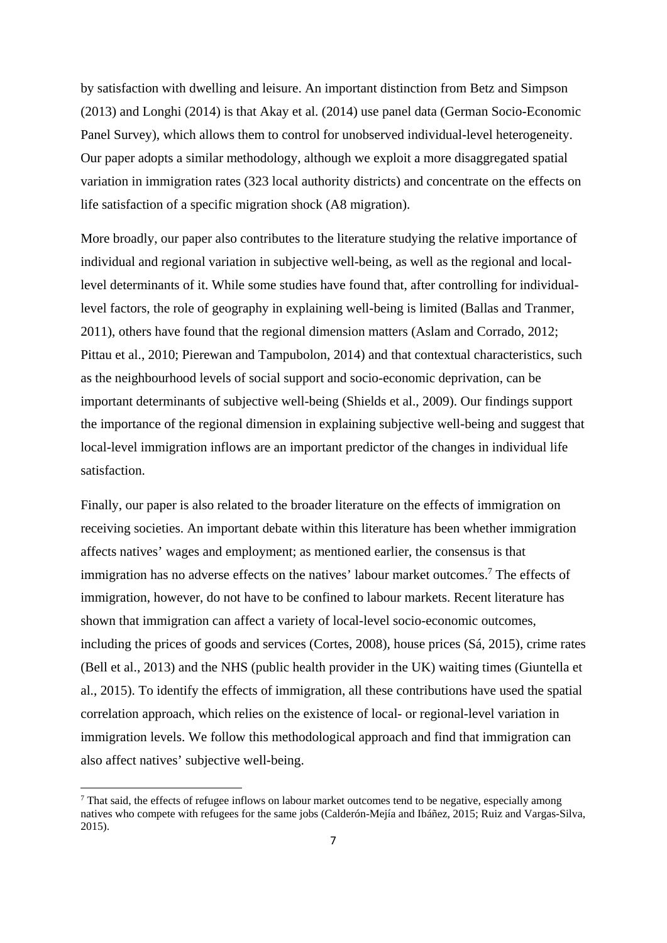by satisfaction with dwelling and leisure. An important distinction from Betz and Simpson (2013) and Longhi (2014) is that Akay et al. (2014) use panel data (German Socio-Economic Panel Survey), which allows them to control for unobserved individual-level heterogeneity. Our paper adopts a similar methodology, although we exploit a more disaggregated spatial variation in immigration rates (323 local authority districts) and concentrate on the effects on life satisfaction of a specific migration shock (A8 migration).

More broadly, our paper also contributes to the literature studying the relative importance of individual and regional variation in subjective well-being, as well as the regional and locallevel determinants of it. While some studies have found that, after controlling for individuallevel factors, the role of geography in explaining well-being is limited (Ballas and Tranmer, 2011), others have found that the regional dimension matters (Aslam and Corrado, 2012; Pittau et al., 2010; Pierewan and Tampubolon, 2014) and that contextual characteristics, such as the neighbourhood levels of social support and socio-economic deprivation, can be important determinants of subjective well-being (Shields et al., 2009). Our findings support the importance of the regional dimension in explaining subjective well-being and suggest that local-level immigration inflows are an important predictor of the changes in individual life satisfaction.

Finally, our paper is also related to the broader literature on the effects of immigration on receiving societies. An important debate within this literature has been whether immigration affects natives' wages and employment; as mentioned earlier, the consensus is that immigration has no adverse effects on the natives' labour market outcomes.<sup>7</sup> The effects of immigration, however, do not have to be confined to labour markets. Recent literature has shown that immigration can affect a variety of local-level socio-economic outcomes, including the prices of goods and services (Cortes, 2008), house prices (Sá, 2015), crime rates (Bell et al., 2013) and the NHS (public health provider in the UK) waiting times (Giuntella et al., 2015). To identify the effects of immigration, all these contributions have used the spatial correlation approach, which relies on the existence of local- or regional-level variation in immigration levels. We follow this methodological approach and find that immigration can also affect natives' subjective well-being.

<sup>&</sup>lt;sup>7</sup> That said, the effects of refugee inflows on labour market outcomes tend to be negative, especially among natives who compete with refugees for the same jobs (Calderón-Mejía and Ibáñez, 2015; Ruiz and Vargas-Silva, 2015).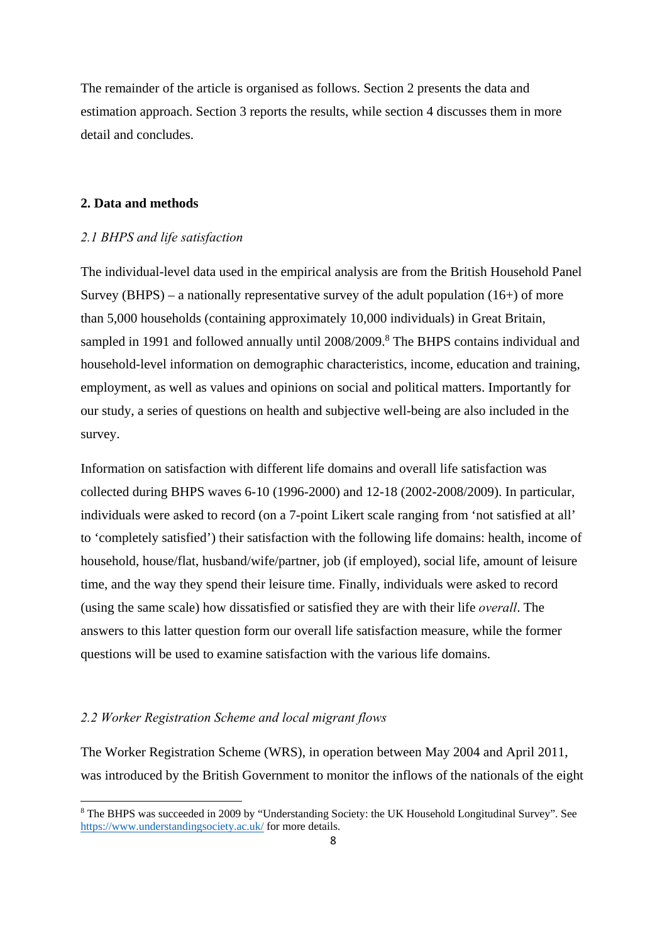The remainder of the article is organised as follows. Section 2 presents the data and estimation approach. Section 3 reports the results, while section 4 discusses them in more detail and concludes.

#### **2. Data and methods**

#### *2.1 BHPS and life satisfaction*

The individual-level data used in the empirical analysis are from the British Household Panel Survey (BHPS) – a nationally representative survey of the adult population  $(16+)$  of more than 5,000 households (containing approximately 10,000 individuals) in Great Britain, sampled in 1991 and followed annually until 2008/2009.<sup>8</sup> The BHPS contains individual and household-level information on demographic characteristics, income, education and training, employment, as well as values and opinions on social and political matters. Importantly for our study, a series of questions on health and subjective well-being are also included in the survey.

Information on satisfaction with different life domains and overall life satisfaction was collected during BHPS waves 6-10 (1996-2000) and 12-18 (2002-2008/2009). In particular, individuals were asked to record (on a 7-point Likert scale ranging from 'not satisfied at all' to 'completely satisfied') their satisfaction with the following life domains: health, income of household, house/flat, husband/wife/partner, job (if employed), social life, amount of leisure time, and the way they spend their leisure time. Finally, individuals were asked to record (using the same scale) how dissatisfied or satisfied they are with their life *overall*. The answers to this latter question form our overall life satisfaction measure, while the former questions will be used to examine satisfaction with the various life domains.

#### *2.2 Worker Registration Scheme and local migrant flows*

The Worker Registration Scheme (WRS), in operation between May 2004 and April 2011, was introduced by the British Government to monitor the inflows of the nationals of the eight

<sup>&</sup>lt;sup>8</sup> The BHPS was succeeded in 2009 by "Understanding Society: the UK Household Longitudinal Survey". See https://www.understandingsociety.ac.uk/ for more details.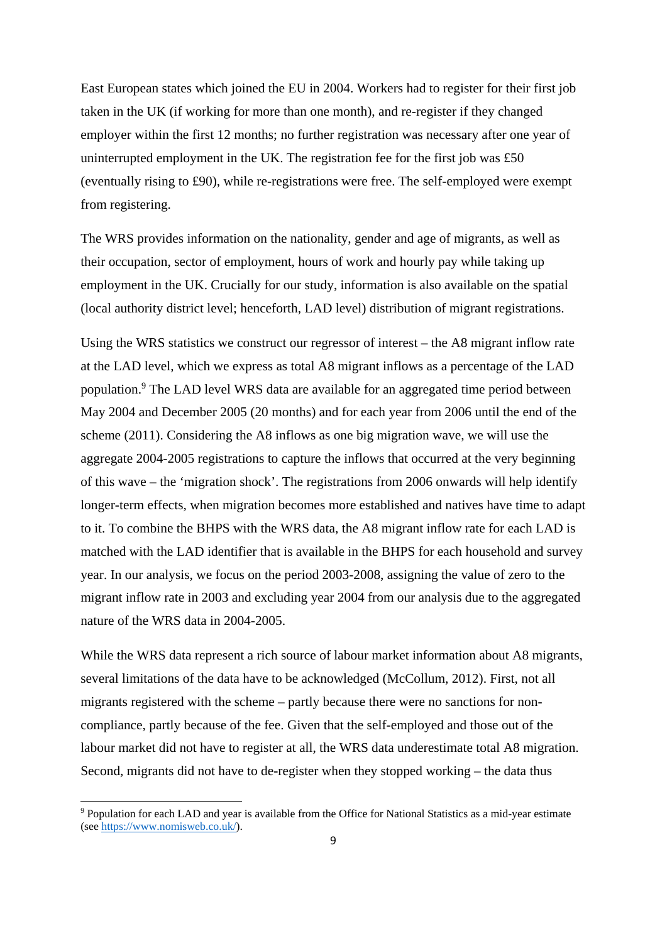East European states which joined the EU in 2004. Workers had to register for their first job taken in the UK (if working for more than one month), and re-register if they changed employer within the first 12 months; no further registration was necessary after one year of uninterrupted employment in the UK. The registration fee for the first job was £50 (eventually rising to £90), while re-registrations were free. The self-employed were exempt from registering.

The WRS provides information on the nationality, gender and age of migrants, as well as their occupation, sector of employment, hours of work and hourly pay while taking up employment in the UK. Crucially for our study, information is also available on the spatial (local authority district level; henceforth, LAD level) distribution of migrant registrations.

Using the WRS statistics we construct our regressor of interest – the A8 migrant inflow rate at the LAD level, which we express as total A8 migrant inflows as a percentage of the LAD population.<sup>9</sup> The LAD level WRS data are available for an aggregated time period between May 2004 and December 2005 (20 months) and for each year from 2006 until the end of the scheme (2011). Considering the A8 inflows as one big migration wave, we will use the aggregate 2004-2005 registrations to capture the inflows that occurred at the very beginning of this wave – the 'migration shock'. The registrations from 2006 onwards will help identify longer-term effects, when migration becomes more established and natives have time to adapt to it. To combine the BHPS with the WRS data, the A8 migrant inflow rate for each LAD is matched with the LAD identifier that is available in the BHPS for each household and survey year. In our analysis, we focus on the period 2003-2008, assigning the value of zero to the migrant inflow rate in 2003 and excluding year 2004 from our analysis due to the aggregated nature of the WRS data in 2004-2005.

While the WRS data represent a rich source of labour market information about A8 migrants, several limitations of the data have to be acknowledged (McCollum, 2012). First, not all migrants registered with the scheme – partly because there were no sanctions for noncompliance, partly because of the fee. Given that the self-employed and those out of the labour market did not have to register at all, the WRS data underestimate total A8 migration. Second, migrants did not have to de-register when they stopped working – the data thus

<sup>&</sup>lt;sup>9</sup> Population for each LAD and year is available from the Office for National Statistics as a mid-year estimate (see https://www.nomisweb.co.uk/).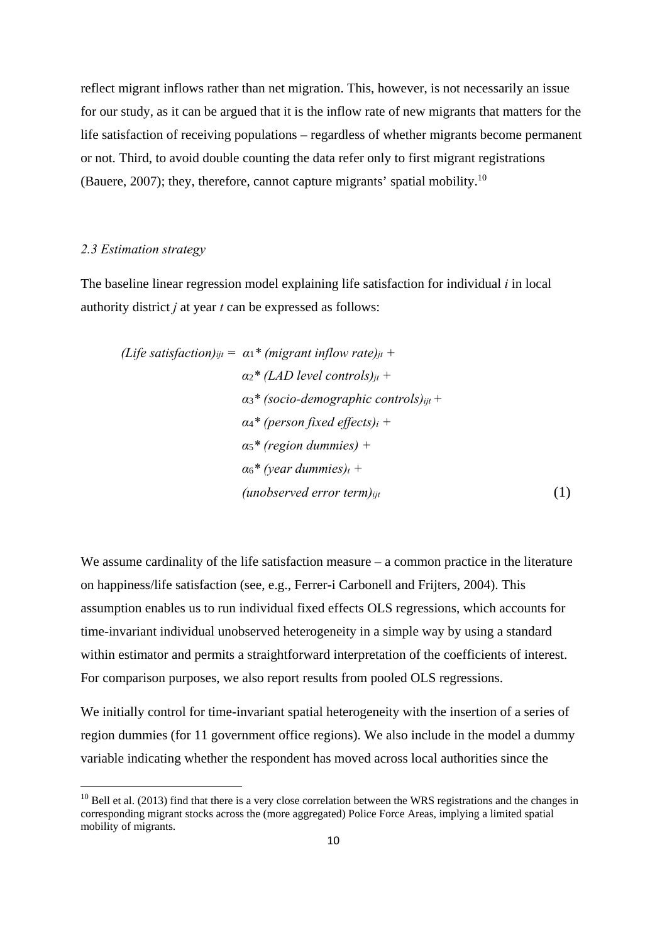reflect migrant inflows rather than net migration. This, however, is not necessarily an issue for our study, as it can be argued that it is the inflow rate of new migrants that matters for the life satisfaction of receiving populations – regardless of whether migrants become permanent or not. Third, to avoid double counting the data refer only to first migrant registrations (Bauere, 2007); they, therefore, cannot capture migrants' spatial mobility.10

#### *2.3 Estimation strategy*

The baseline linear regression model explaining life satisfaction for individual *i* in local authority district *j* at year *t* can be expressed as follows:

(Life satisfaction)<sub>ijt</sub> = 
$$
\alpha_1^*
$$
 (migrant inflow rate)<sub>jt</sub> +  
\n $\alpha_2^*$  (LAD level controls)<sub>jt</sub> +  
\n $\alpha_3^*$  (socio-demographic controls)<sub>ijt</sub> +  
\n $\alpha_4^*$  (person fixed effects)<sub>i</sub> +  
\n $\alpha_5^*$  (region dummies) +  
\n $\alpha_6^*$  (year dummies)<sub>t</sub> +  
\n(unobserved error term)<sub>ijt</sub> (1)

We assume cardinality of the life satisfaction measure – a common practice in the literature on happiness/life satisfaction (see, e.g., Ferrer-i Carbonell and Frijters, 2004). This assumption enables us to run individual fixed effects OLS regressions, which accounts for time-invariant individual unobserved heterogeneity in a simple way by using a standard within estimator and permits a straightforward interpretation of the coefficients of interest. For comparison purposes, we also report results from pooled OLS regressions.

We initially control for time-invariant spatial heterogeneity with the insertion of a series of region dummies (for 11 government office regions). We also include in the model a dummy variable indicating whether the respondent has moved across local authorities since the

 $10$  Bell et al. (2013) find that there is a very close correlation between the WRS registrations and the changes in corresponding migrant stocks across the (more aggregated) Police Force Areas, implying a limited spatial mobility of migrants.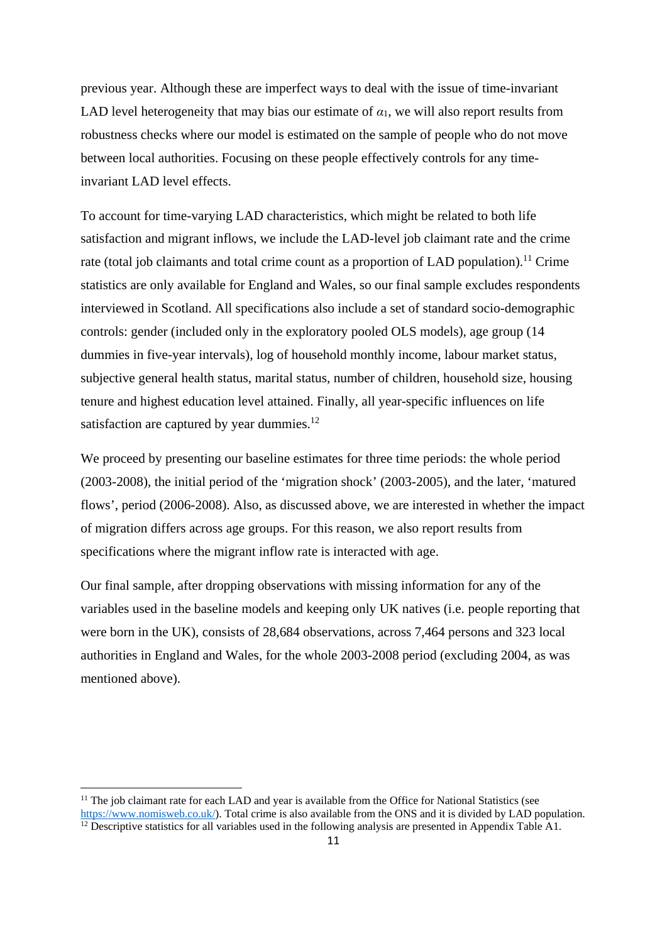previous year. Although these are imperfect ways to deal with the issue of time-invariant LAD level heterogeneity that may bias our estimate of  $\alpha_1$ , we will also report results from robustness checks where our model is estimated on the sample of people who do not move between local authorities. Focusing on these people effectively controls for any timeinvariant LAD level effects.

To account for time-varying LAD characteristics, which might be related to both life satisfaction and migrant inflows, we include the LAD-level job claimant rate and the crime rate (total job claimants and total crime count as a proportion of LAD population).<sup>11</sup> Crime statistics are only available for England and Wales, so our final sample excludes respondents interviewed in Scotland. All specifications also include a set of standard socio-demographic controls: gender (included only in the exploratory pooled OLS models), age group (14 dummies in five-year intervals), log of household monthly income, labour market status, subjective general health status, marital status, number of children, household size, housing tenure and highest education level attained. Finally, all year-specific influences on life satisfaction are captured by year dummies. $^{12}$ 

We proceed by presenting our baseline estimates for three time periods: the whole period (2003-2008), the initial period of the 'migration shock' (2003-2005), and the later, 'matured flows', period (2006-2008). Also, as discussed above, we are interested in whether the impact of migration differs across age groups. For this reason, we also report results from specifications where the migrant inflow rate is interacted with age.

Our final sample, after dropping observations with missing information for any of the variables used in the baseline models and keeping only UK natives (i.e. people reporting that were born in the UK), consists of 28,684 observations, across 7,464 persons and 323 local authorities in England and Wales, for the whole 2003-2008 period (excluding 2004, as was mentioned above).

<sup>&</sup>lt;sup>11</sup> The job claimant rate for each LAD and year is available from the Office for National Statistics (see https://www.nomisweb.co.uk/). Total crime is also available from the ONS and it is divided by LAD population.  $\frac{12}{12}$  Descriptive statistics for all variables used in the following analysis are presented in Appendix Table A1.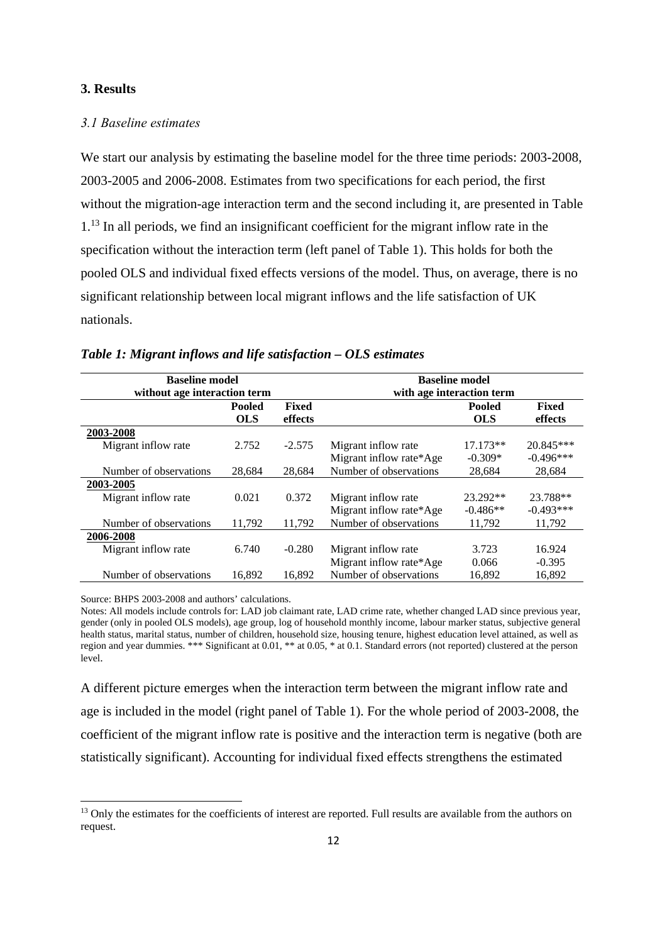#### **3. Results**

#### *3.1 Baseline estimates*

We start our analysis by estimating the baseline model for the three time periods:  $2003-2008$ , 2003-2005 and 2006-2008. Estimates from two specifications for each period, the first without the migration-age interaction term and the second including it, are presented in Table 1.<sup>13</sup> In all periods, we find an insignificant coefficient for the migrant inflow rate in the specification without the interaction term (left panel of Table 1). This holds for both the pooled OLS and individual fixed effects versions of the model. Thus, on average, there is no significant relationship between local migrant inflows and the life satisfaction of UK nationals.

| <b>Baseline model</b>        |            |              | <b>Baseline model</b>     |            |              |  |  |
|------------------------------|------------|--------------|---------------------------|------------|--------------|--|--|
| without age interaction term |            |              | with age interaction term |            |              |  |  |
|                              | Pooled     | <b>Fixed</b> | <b>Pooled</b>             |            | <b>Fixed</b> |  |  |
|                              | <b>OLS</b> | effects      |                           | <b>OLS</b> | effects      |  |  |
| 2003-2008                    |            |              |                           |            |              |  |  |
| Migrant inflow rate          | 2.752      | $-2.575$     | Migrant inflow rate       | $17.173**$ | 20.845***    |  |  |
|                              |            |              | Migrant inflow rate*Age   | $-0.309*$  | $-0.496***$  |  |  |
| Number of observations       | 28.684     | 28.684       | Number of observations    | 28.684     | 28,684       |  |  |
| 2003-2005                    |            |              |                           |            |              |  |  |
| Migrant inflow rate          | 0.021      | 0.372        | Migrant inflow rate       | 23.292**   | 23.788**     |  |  |
|                              |            |              | Migrant inflow rate*Age   | $-0.486**$ | $-0.493***$  |  |  |
| Number of observations       | 11,792     | 11,792       | Number of observations    | 11,792     | 11,792       |  |  |
| 2006-2008                    |            |              |                           |            |              |  |  |
| Migrant inflow rate          | 6.740      | $-0.280$     | Migrant inflow rate       | 3.723      | 16.924       |  |  |
|                              |            |              | Migrant inflow rate*Age   | 0.066      | $-0.395$     |  |  |
| Number of observations       | 16.892     | 16.892       | Number of observations    | 16.892     | 16,892       |  |  |

#### *Table 1: Migrant inflows and life satisfaction – OLS estimates*

Source: BHPS 2003-2008 and authors' calculations.

Notes: All models include controls for: LAD job claimant rate, LAD crime rate, whether changed LAD since previous year, gender (only in pooled OLS models), age group, log of household monthly income, labour marker status, subjective general health status, marital status, number of children, household size, housing tenure, highest education level attained, as well as region and year dummies. \*\*\* Significant at 0.01, \*\* at 0.05, \* at 0.1. Standard errors (not reported) clustered at the person level.

A different picture emerges when the interaction term between the migrant inflow rate and age is included in the model (right panel of Table 1). For the whole period of 2003-2008, the coefficient of the migrant inflow rate is positive and the interaction term is negative (both are statistically significant). Accounting for individual fixed effects strengthens the estimated

<sup>&</sup>lt;sup>13</sup> Only the estimates for the coefficients of interest are reported. Full results are available from the authors on request.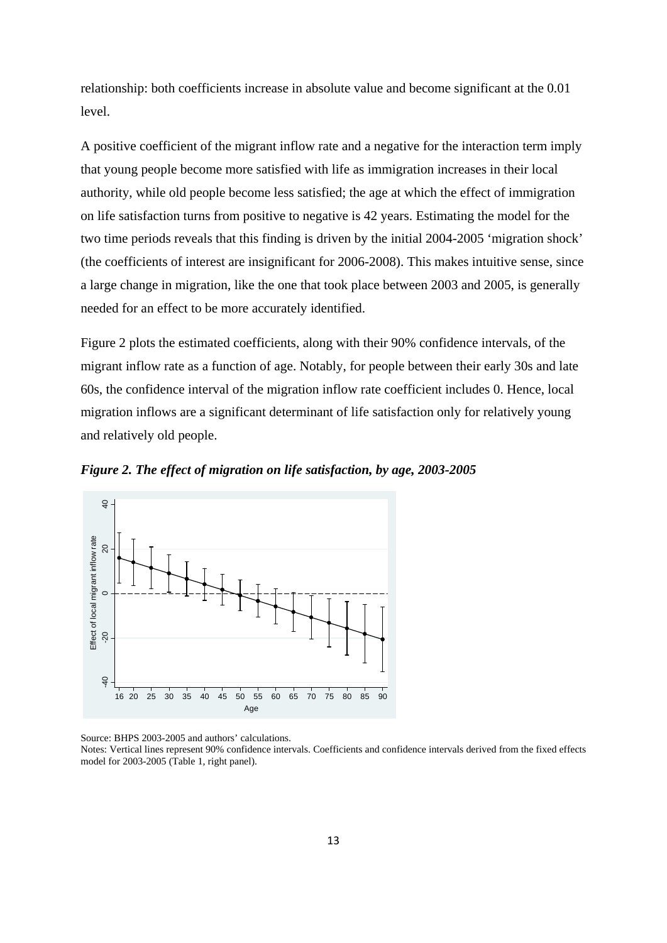relationship: both coefficients increase in absolute value and become significant at the 0.01 level.

A positive coefficient of the migrant inflow rate and a negative for the interaction term imply that young people become more satisfied with life as immigration increases in their local authority, while old people become less satisfied; the age at which the effect of immigration on life satisfaction turns from positive to negative is 42 years. Estimating the model for the two time periods reveals that this finding is driven by the initial 2004-2005 'migration shock' (the coefficients of interest are insignificant for 2006-2008). This makes intuitive sense, since a large change in migration, like the one that took place between 2003 and 2005, is generally needed for an effect to be more accurately identified.

Figure 2 plots the estimated coefficients, along with their 90% confidence intervals, of the migrant inflow rate as a function of age. Notably, for people between their early 30s and late 60s, the confidence interval of the migration inflow rate coefficient includes 0. Hence, local migration inflows are a significant determinant of life satisfaction only for relatively young and relatively old people.

*Figure 2. The effect of migration on life satisfaction, by age, 2003-2005* 



Source: BHPS 2003-2005 and authors' calculations.

Notes: Vertical lines represent 90% confidence intervals. Coefficients and confidence intervals derived from the fixed effects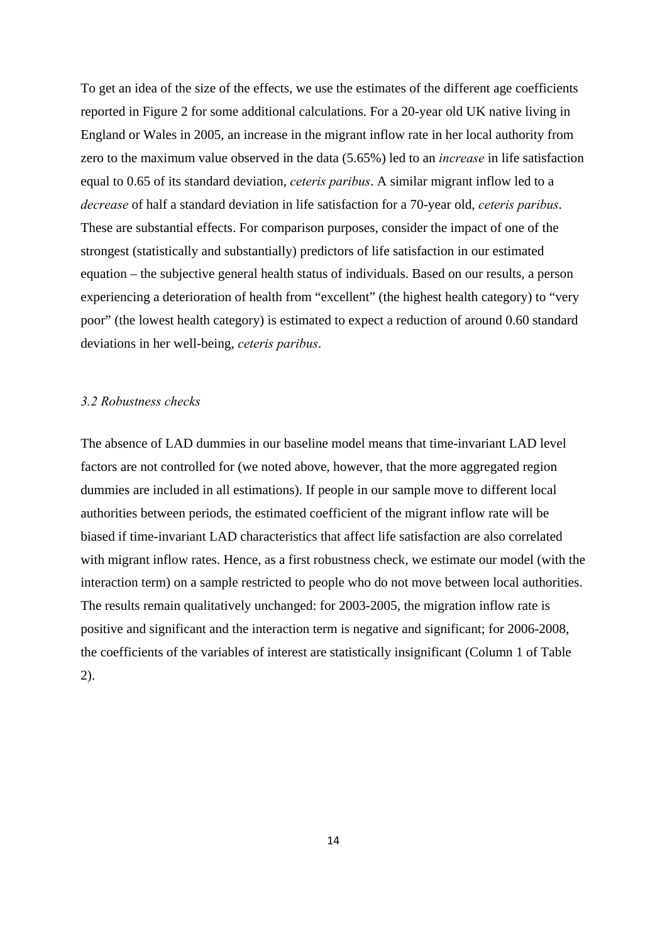To get an idea of the size of the effects, we use the estimates of the different age coefficients reported in Figure 2 for some additional calculations. For a 20-year old UK native living in England or Wales in 2005, an increase in the migrant inflow rate in her local authority from zero to the maximum value observed in the data (5.65%) led to an *increase* in life satisfaction equal to 0.65 of its standard deviation, *ceteris paribus*. A similar migrant inflow led to a *decrease* of half a standard deviation in life satisfaction for a 70-year old, *ceteris paribus*. These are substantial effects. For comparison purposes, consider the impact of one of the strongest (statistically and substantially) predictors of life satisfaction in our estimated equation – the subjective general health status of individuals. Based on our results, a person experiencing a deterioration of health from "excellent" (the highest health category) to "very poor" (the lowest health category) is estimated to expect a reduction of around 0.60 standard deviations in her well-being, *ceteris paribus*.

#### *3.2 Robustness checks*

The absence of LAD dummies in our baseline model means that time-invariant LAD level factors are not controlled for (we noted above, however, that the more aggregated region dummies are included in all estimations). If people in our sample move to different local authorities between periods, the estimated coefficient of the migrant inflow rate will be biased if time-invariant LAD characteristics that affect life satisfaction are also correlated with migrant inflow rates. Hence, as a first robustness check, we estimate our model (with the interaction term) on a sample restricted to people who do not move between local authorities. The results remain qualitatively unchanged: for 2003-2005, the migration inflow rate is positive and significant and the interaction term is negative and significant; for 2006-2008, the coefficients of the variables of interest are statistically insignificant (Column 1 of Table 2).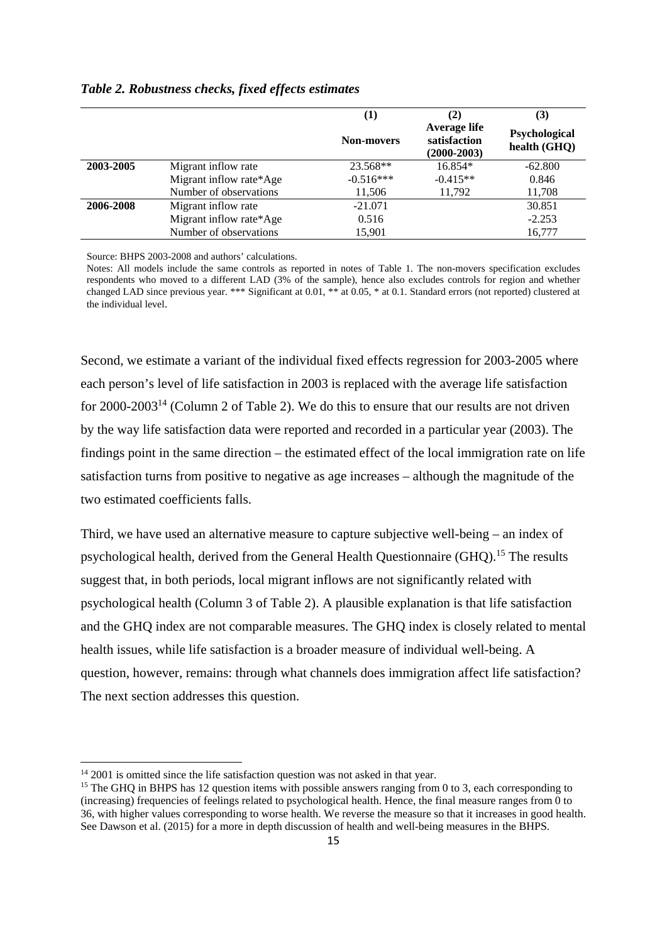|           |                         | $\bf{(1)}$        | (2)                                             | (3)                           |  |
|-----------|-------------------------|-------------------|-------------------------------------------------|-------------------------------|--|
|           |                         | <b>Non-movers</b> | Average life<br>satisfaction<br>$(2000 - 2003)$ | Psychological<br>health (GHQ) |  |
| 2003-2005 | Migrant inflow rate     | 23.568**          | $16.854*$                                       | $-62.800$                     |  |
|           | Migrant inflow rate*Age | $-0.516***$       | $-0.415**$                                      | 0.846                         |  |
|           | Number of observations  | 11,506            | 11.792                                          | 11,708                        |  |
| 2006-2008 | Migrant inflow rate     | $-21.071$         |                                                 | 30.851                        |  |
|           | Migrant inflow rate*Age | 0.516             |                                                 | $-2.253$                      |  |
|           | Number of observations  | 15,901            |                                                 | 16,777                        |  |

#### *Table 2. Robustness checks, fixed effects estimates*

Source: BHPS 2003-2008 and authors' calculations.

Notes: All models include the same controls as reported in notes of Table 1. The non-movers specification excludes respondents who moved to a different LAD (3% of the sample), hence also excludes controls for region and whether changed LAD since previous year. \*\*\* Significant at 0.01, \*\* at 0.05, \* at 0.1. Standard errors (not reported) clustered at the individual level.

Second, we estimate a variant of the individual fixed effects regression for 2003-2005 where each person's level of life satisfaction in 2003 is replaced with the average life satisfaction for 2000-2003<sup>14</sup> (Column 2 of Table 2). We do this to ensure that our results are not driven by the way life satisfaction data were reported and recorded in a particular year (2003). The findings point in the same direction – the estimated effect of the local immigration rate on life satisfaction turns from positive to negative as age increases – although the magnitude of the two estimated coefficients falls.

Third, we have used an alternative measure to capture subjective well-being – an index of psychological health, derived from the General Health Questionnaire (GHQ).<sup>15</sup> The results suggest that, in both periods, local migrant inflows are not significantly related with psychological health (Column 3 of Table 2). A plausible explanation is that life satisfaction and the GHQ index are not comparable measures. The GHQ index is closely related to mental health issues, while life satisfaction is a broader measure of individual well-being. A question, however, remains: through what channels does immigration affect life satisfaction? The next section addresses this question.

<sup>&</sup>lt;sup>14</sup> 2001 is omitted since the life satisfaction question was not asked in that year.

<sup>&</sup>lt;sup>15</sup> The GHQ in BHPS has 12 question items with possible answers ranging from 0 to 3, each corresponding to (increasing) frequencies of feelings related to psychological health. Hence, the final measure ranges from 0 to 36, with higher values corresponding to worse health. We reverse the measure so that it increases in good health. See Dawson et al. (2015) for a more in depth discussion of health and well-being measures in the BHPS.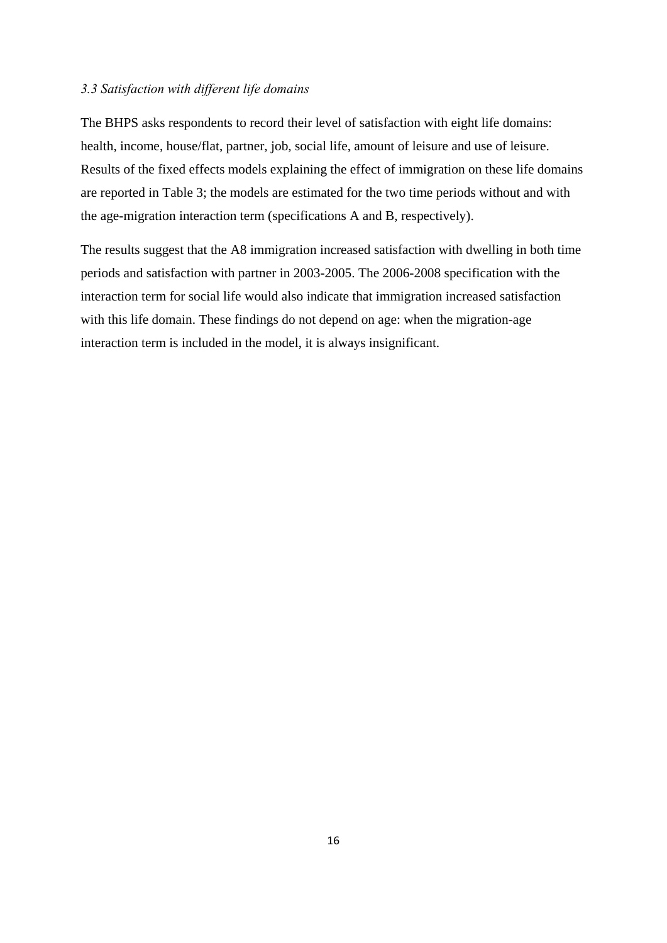#### *3.3 Satisfaction with different life domains*

The BHPS asks respondents to record their level of satisfaction with eight life domains: health, income, house/flat, partner, job, social life, amount of leisure and use of leisure. Results of the fixed effects models explaining the effect of immigration on these life domains are reported in Table 3; the models are estimated for the two time periods without and with the age-migration interaction term (specifications A and B, respectively).

The results suggest that the A8 immigration increased satisfaction with dwelling in both time periods and satisfaction with partner in 2003-2005. The 2006-2008 specification with the interaction term for social life would also indicate that immigration increased satisfaction with this life domain. These findings do not depend on age: when the migration-age interaction term is included in the model, it is always insignificant.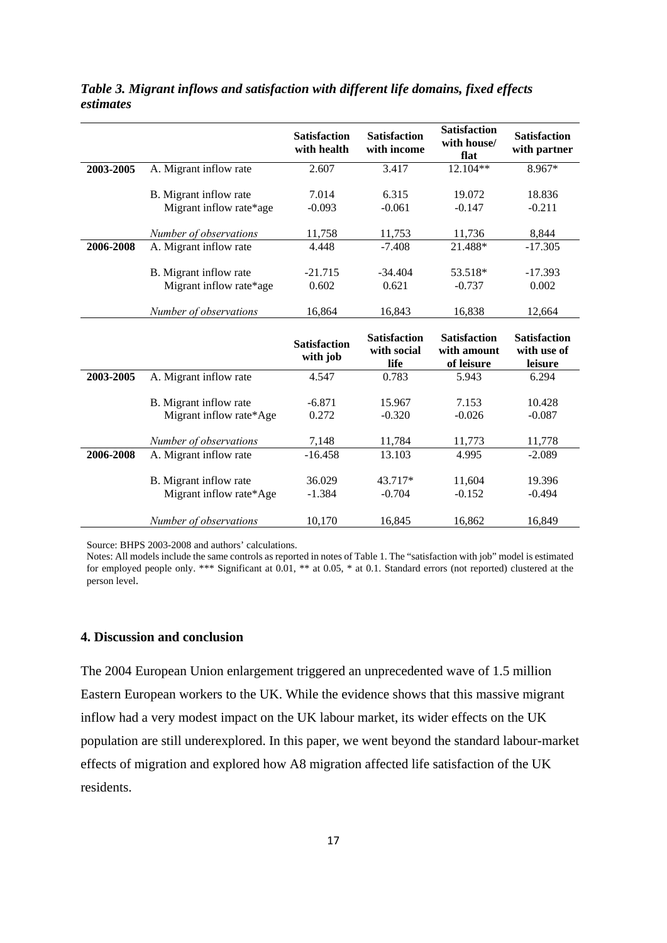|           |                                                   | <b>Satisfaction</b><br>with health | <b>Satisfaction</b><br>with income | <b>Satisfaction</b><br>with house/<br>flat | <b>Satisfaction</b><br>with partner |
|-----------|---------------------------------------------------|------------------------------------|------------------------------------|--------------------------------------------|-------------------------------------|
| 2003-2005 | A. Migrant inflow rate                            | 2.607                              | 3.417                              | 12.104**                                   | 8.967*                              |
|           |                                                   |                                    |                                    |                                            |                                     |
|           | B. Migrant inflow rate                            | 7.014                              | 6.315                              | 19.072                                     | 18.836                              |
|           | Migrant inflow rate*age                           | $-0.093$                           | $-0.061$                           | $-0.147$                                   | $-0.211$                            |
|           | Number of observations                            | 11,758                             | 11,753                             | 11,736                                     | 8,844                               |
| 2006-2008 | A. Migrant inflow rate                            | 4.448                              | $-7.408$                           | 21.488*                                    | $-17.305$                           |
|           |                                                   |                                    |                                    |                                            |                                     |
|           | B. Migrant inflow rate                            | $-21.715$                          | $-34.404$                          | 53.518*                                    | $-17.393$                           |
|           | Migrant inflow rate*age                           | 0.602                              | 0.621                              | $-0.737$                                   | 0.002                               |
|           |                                                   |                                    |                                    |                                            |                                     |
|           | Number of observations                            | 16,864                             | 16,843                             | 16,838                                     | 12,664                              |
|           |                                                   |                                    |                                    |                                            |                                     |
|           |                                                   | <b>Satisfaction</b>                | <b>Satisfaction</b><br>with social | <b>Satisfaction</b><br>with amount         | <b>Satisfaction</b><br>with use of  |
|           |                                                   | with job                           | life                               | of leisure                                 | leisure                             |
| 2003-2005 | A. Migrant inflow rate                            | 4.547                              | 0.783                              | 5.943                                      | 6.294                               |
|           |                                                   |                                    |                                    |                                            |                                     |
|           | B. Migrant inflow rate                            | $-6.871$                           | 15.967                             | 7.153                                      | 10.428                              |
|           | Migrant inflow rate*Age                           | 0.272                              | $-0.320$                           | $-0.026$                                   | $-0.087$                            |
|           |                                                   |                                    |                                    |                                            |                                     |
|           | Number of observations                            | 7,148                              | 11,784                             | 11,773                                     | 11,778                              |
| 2006-2008 | A. Migrant inflow rate                            | $-16.458$                          | 13.103                             | 4.995                                      | $-2.089$                            |
|           |                                                   |                                    |                                    |                                            |                                     |
|           | B. Migrant inflow rate<br>Migrant inflow rate*Age | 36.029<br>$-1.384$                 | 43.717*<br>$-0.704$                | 11,604<br>$-0.152$                         | 19.396<br>$-0.494$                  |
|           |                                                   |                                    |                                    |                                            |                                     |

*Table 3. Migrant inflows and satisfaction with different life domains, fixed effects estimates* 

Source: BHPS 2003-2008 and authors' calculations.

Notes: All models include the same controls as reported in notes of Table 1. The "satisfaction with job" model is estimated for employed people only. \*\*\* Significant at 0.01, \*\* at 0.05, \* at 0.1. Standard errors (not reported) clustered at the person level.

#### **4. Discussion and conclusion**

The 2004 European Union enlargement triggered an unprecedented wave of 1.5 million Eastern European workers to the UK. While the evidence shows that this massive migrant inflow had a very modest impact on the UK labour market, its wider effects on the UK population are still underexplored. In this paper, we went beyond the standard labour-market effects of migration and explored how A8 migration affected life satisfaction of the UK residents.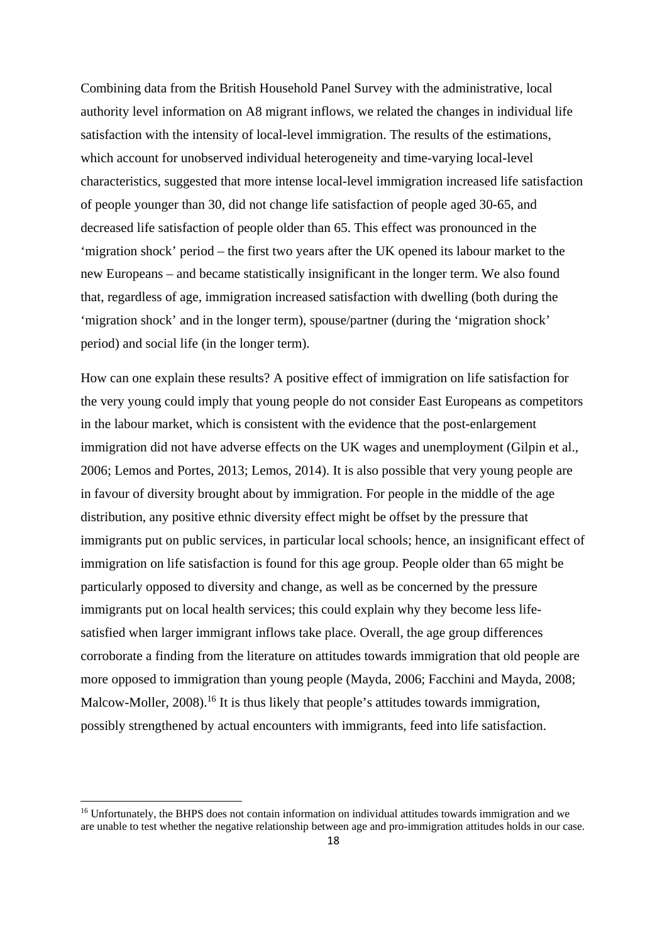Combining data from the British Household Panel Survey with the administrative, local authority level information on A8 migrant inflows, we related the changes in individual life satisfaction with the intensity of local-level immigration. The results of the estimations, which account for unobserved individual heterogeneity and time-varying local-level characteristics, suggested that more intense local-level immigration increased life satisfaction of people younger than 30, did not change life satisfaction of people aged 30-65, and decreased life satisfaction of people older than 65. This effect was pronounced in the 'migration shock' period – the first two years after the UK opened its labour market to the new Europeans – and became statistically insignificant in the longer term. We also found that, regardless of age, immigration increased satisfaction with dwelling (both during the 'migration shock' and in the longer term), spouse/partner (during the 'migration shock' period) and social life (in the longer term).

How can one explain these results? A positive effect of immigration on life satisfaction for the very young could imply that young people do not consider East Europeans as competitors in the labour market, which is consistent with the evidence that the post-enlargement immigration did not have adverse effects on the UK wages and unemployment (Gilpin et al., 2006; Lemos and Portes, 2013; Lemos, 2014). It is also possible that very young people are in favour of diversity brought about by immigration. For people in the middle of the age distribution, any positive ethnic diversity effect might be offset by the pressure that immigrants put on public services, in particular local schools; hence, an insignificant effect of immigration on life satisfaction is found for this age group. People older than 65 might be particularly opposed to diversity and change, as well as be concerned by the pressure immigrants put on local health services; this could explain why they become less lifesatisfied when larger immigrant inflows take place. Overall, the age group differences corroborate a finding from the literature on attitudes towards immigration that old people are more opposed to immigration than young people (Mayda, 2006; Facchini and Mayda, 2008; Malcow-Moller, 2008).<sup>16</sup> It is thus likely that people's attitudes towards immigration, possibly strengthened by actual encounters with immigrants, feed into life satisfaction.

<sup>&</sup>lt;sup>16</sup> Unfortunately, the BHPS does not contain information on individual attitudes towards immigration and we are unable to test whether the negative relationship between age and pro-immigration attitudes holds in our case.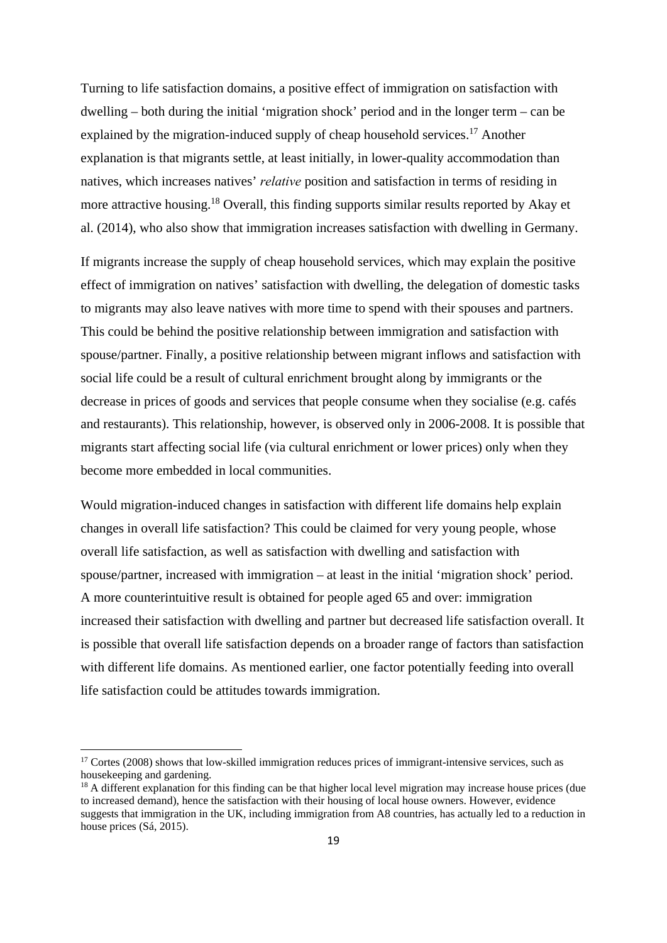Turning to life satisfaction domains, a positive effect of immigration on satisfaction with dwelling – both during the initial 'migration shock' period and in the longer term – can be explained by the migration-induced supply of cheap household services.<sup>17</sup> Another explanation is that migrants settle, at least initially, in lower-quality accommodation than natives, which increases natives' *relative* position and satisfaction in terms of residing in more attractive housing.<sup>18</sup> Overall, this finding supports similar results reported by Akay et al. (2014), who also show that immigration increases satisfaction with dwelling in Germany.

If migrants increase the supply of cheap household services, which may explain the positive effect of immigration on natives' satisfaction with dwelling, the delegation of domestic tasks to migrants may also leave natives with more time to spend with their spouses and partners. This could be behind the positive relationship between immigration and satisfaction with spouse/partner. Finally, a positive relationship between migrant inflows and satisfaction with social life could be a result of cultural enrichment brought along by immigrants or the decrease in prices of goods and services that people consume when they socialise (e.g. cafés and restaurants). This relationship, however, is observed only in 2006-2008. It is possible that migrants start affecting social life (via cultural enrichment or lower prices) only when they become more embedded in local communities.

Would migration-induced changes in satisfaction with different life domains help explain changes in overall life satisfaction? This could be claimed for very young people, whose overall life satisfaction, as well as satisfaction with dwelling and satisfaction with spouse/partner, increased with immigration – at least in the initial 'migration shock' period. A more counterintuitive result is obtained for people aged 65 and over: immigration increased their satisfaction with dwelling and partner but decreased life satisfaction overall. It is possible that overall life satisfaction depends on a broader range of factors than satisfaction with different life domains. As mentioned earlier, one factor potentially feeding into overall life satisfaction could be attitudes towards immigration.

<sup>&</sup>lt;sup>17</sup> Cortes (2008) shows that low-skilled immigration reduces prices of immigrant-intensive services, such as housekeeping and gardening.

<sup>&</sup>lt;sup>18</sup> A different explanation for this finding can be that higher local level migration may increase house prices (due to increased demand), hence the satisfaction with their housing of local house owners. However, evidence suggests that immigration in the UK, including immigration from A8 countries, has actually led to a reduction in house prices (Sá, 2015).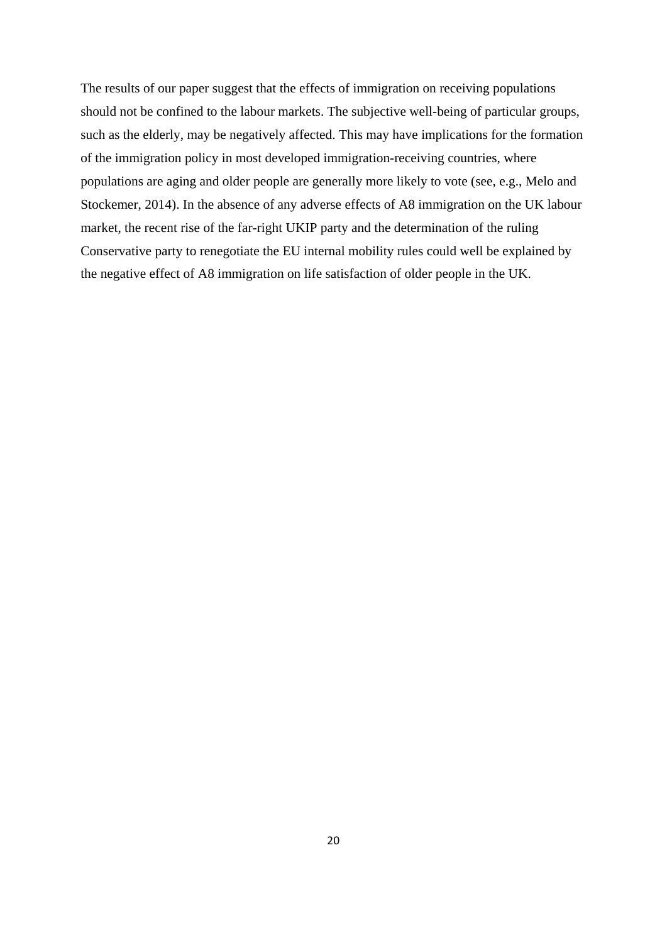The results of our paper suggest that the effects of immigration on receiving populations should not be confined to the labour markets. The subjective well-being of particular groups, such as the elderly, may be negatively affected. This may have implications for the formation of the immigration policy in most developed immigration-receiving countries, where populations are aging and older people are generally more likely to vote (see, e.g., Melo and Stockemer, 2014). In the absence of any adverse effects of A8 immigration on the UK labour market, the recent rise of the far-right UKIP party and the determination of the ruling Conservative party to renegotiate the EU internal mobility rules could well be explained by the negative effect of A8 immigration on life satisfaction of older people in the UK.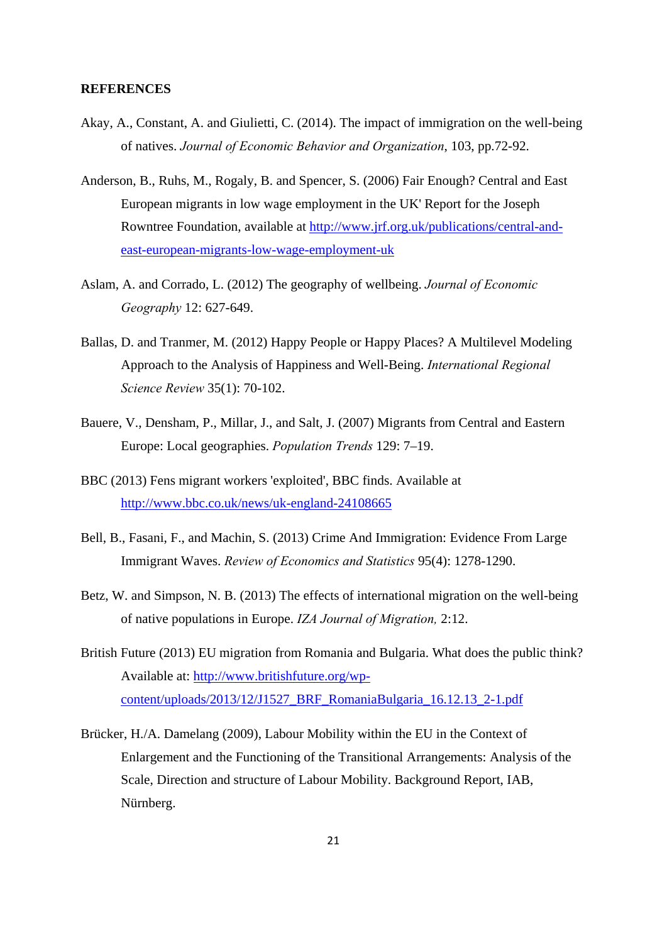#### **REFERENCES**

- Akay, A., Constant, A. and Giulietti, C. (2014). The impact of immigration on the well-being of natives. *Journal of Economic Behavior and Organization*, 103, pp.72-92.
- Anderson, B., Ruhs, M., Rogaly, B. and Spencer, S. (2006) Fair Enough? Central and East European migrants in low wage employment in the UK' Report for the Joseph Rowntree Foundation, available at http://www.jrf.org.uk/publications/central-andeast-european-migrants-low-wage-employment-uk
- Aslam, A. and Corrado, L. (2012) The geography of wellbeing. *Journal of Economic Geography* 12: 627-649.
- Ballas, D. and Tranmer, M. (2012) Happy People or Happy Places? A Multilevel Modeling Approach to the Analysis of Happiness and Well-Being. *International Regional Science Review* 35(1): 70-102.
- Bauere, V., Densham, P., Millar, J., and Salt, J. (2007) Migrants from Central and Eastern Europe: Local geographies. *Population Trends* 129: 7–19.
- BBC (2013) Fens migrant workers 'exploited', BBC finds. Available at http://www.bbc.co.uk/news/uk-england-24108665
- Bell, B., Fasani, F., and Machin, S. (2013) Crime And Immigration: Evidence From Large Immigrant Waves. *Review of Economics and Statistics* 95(4): 1278-1290.
- Betz, W. and Simpson, N. B. (2013) The effects of international migration on the well-being of native populations in Europe. *IZA Journal of Migration,* 2:12.
- British Future (2013) EU migration from Romania and Bulgaria. What does the public think? Available at: http://www.britishfuture.org/wpcontent/uploads/2013/12/J1527\_BRF\_RomaniaBulgaria\_16.12.13\_2-1.pdf
- Brücker, H./A. Damelang (2009), Labour Mobility within the EU in the Context of Enlargement and the Functioning of the Transitional Arrangements: Analysis of the Scale, Direction and structure of Labour Mobility. Background Report, IAB, Nürnberg.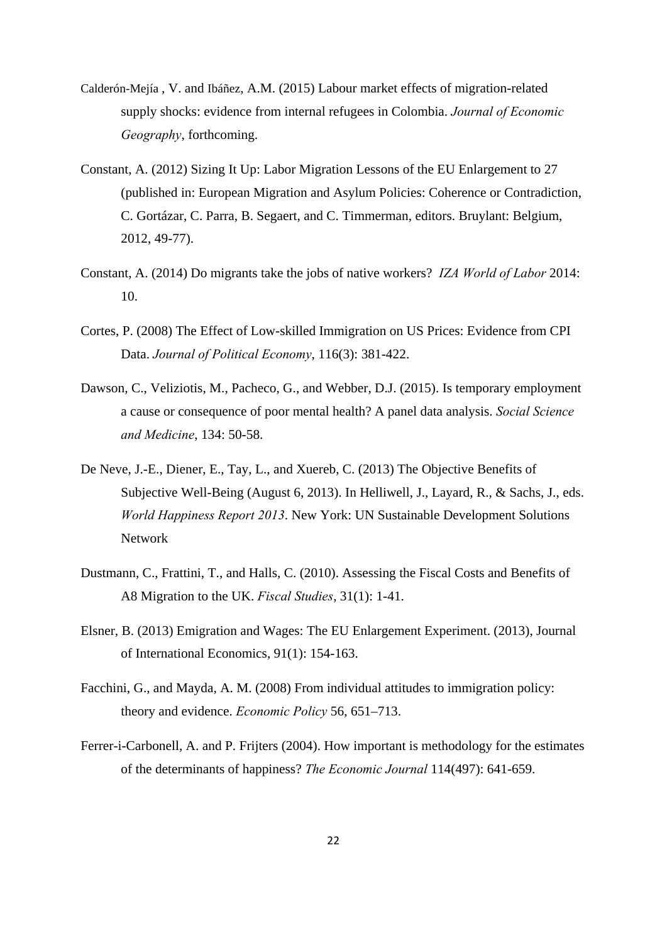- Calderón-Mejía , V. and Ibáñez, A.M. (2015) Labour market effects of migration-related supply shocks: evidence from internal refugees in Colombia. *Journal of Economic Geography*, forthcoming.
- Constant, A. (2012) Sizing It Up: Labor Migration Lessons of the EU Enlargement to 27 (published in: European Migration and Asylum Policies: Coherence or Contradiction, C. Gortázar, C. Parra, B. Segaert, and C. Timmerman, editors. Bruylant: Belgium, 2012, 49-77).
- Constant, A. (2014) Do migrants take the jobs of native workers? *IZA World of Labor* 2014: 10.
- Cortes, P. (2008) The Effect of Low-skilled Immigration on US Prices: Evidence from CPI Data. *Journal of Political Economy*, 116(3): 381-422.
- Dawson, C., Veliziotis, M., Pacheco, G., and Webber, D.J. (2015). Is temporary employment a cause or consequence of poor mental health? A panel data analysis. *Social Science and Medicine*, 134: 50-58.
- De Neve, J.-E., Diener, E., Tay, L., and Xuereb, C. (2013) The Objective Benefits of Subjective Well-Being (August 6, 2013). In Helliwell, J., Layard, R., & Sachs, J., eds. *World Happiness Report 2013*. New York: UN Sustainable Development Solutions Network
- Dustmann, C., Frattini, T., and Halls, C. (2010). Assessing the Fiscal Costs and Benefits of A8 Migration to the UK. *Fiscal Studies*, 31(1): 1-41.
- Elsner, B. (2013) Emigration and Wages: The EU Enlargement Experiment. (2013), Journal of International Economics, 91(1): 154-163.
- Facchini, G., and Mayda, A. M. (2008) From individual attitudes to immigration policy: theory and evidence. *Economic Policy* 56, 651–713.
- Ferrer-i-Carbonell, A. and P. Frijters (2004). How important is methodology for the estimates of the determinants of happiness? *The Economic Journal* 114(497): 641-659.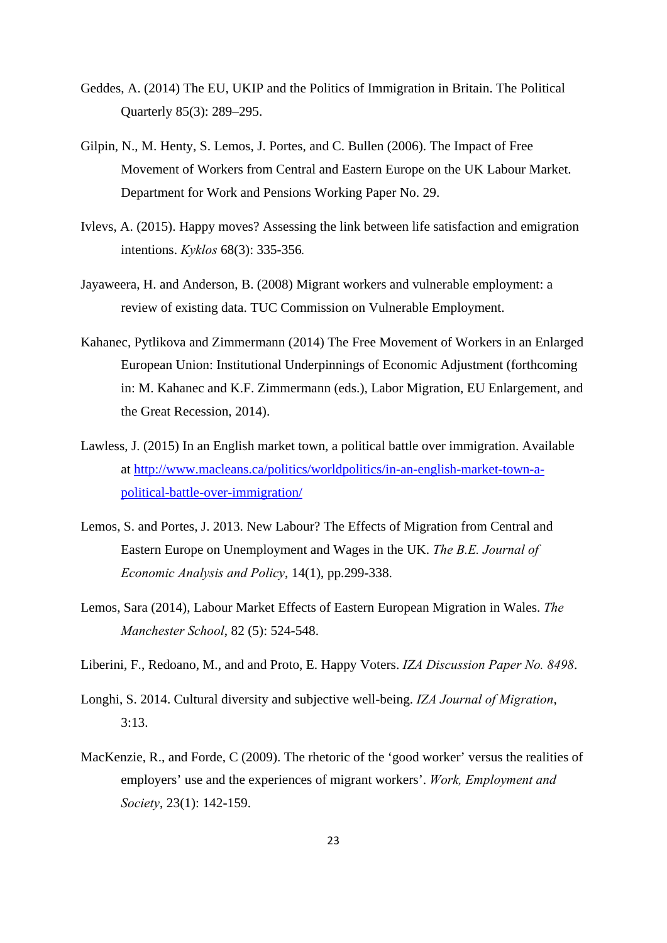- Geddes, A. (2014) The EU, UKIP and the Politics of Immigration in Britain. The Political Quarterly 85(3): 289–295.
- Gilpin, N., M. Henty, S. Lemos, J. Portes, and C. Bullen (2006). The Impact of Free Movement of Workers from Central and Eastern Europe on the UK Labour Market. Department for Work and Pensions Working Paper No. 29.
- Ivlevs, A. (2015). Happy moves? Assessing the link between life satisfaction and emigration intentions. *Kyklos* 68(3): 335-356*.*
- Jayaweera, H. and Anderson, B. (2008) Migrant workers and vulnerable employment: a review of existing data. TUC Commission on Vulnerable Employment.
- Kahanec, Pytlikova and Zimmermann (2014) The Free Movement of Workers in an Enlarged European Union: Institutional Underpinnings of Economic Adjustment (forthcoming in: M. Kahanec and K.F. Zimmermann (eds.), Labor Migration, EU Enlargement, and the Great Recession, 2014).
- Lawless, J. (2015) In an English market town, a political battle over immigration. Available at http://www.macleans.ca/politics/worldpolitics/in-an-english-market-town-apolitical-battle-over-immigration/
- Lemos, S. and Portes, J. 2013. New Labour? The Effects of Migration from Central and Eastern Europe on Unemployment and Wages in the UK. *The B.E. Journal of Economic Analysis and Policy*, 14(1), pp.299-338.
- Lemos, Sara (2014), Labour Market Effects of Eastern European Migration in Wales. *The Manchester School*, 82 (5): 524-548.
- Liberini, F., Redoano, M., and and Proto, E. Happy Voters. *IZA Discussion Paper No. 8498*.
- Longhi, S. 2014. Cultural diversity and subjective well-being. *IZA Journal of Migration*, 3:13.
- MacKenzie, R., and Forde, C (2009). The rhetoric of the 'good worker' versus the realities of employers' use and the experiences of migrant workers'. *Work, Employment and Society*, 23(1): 142-159.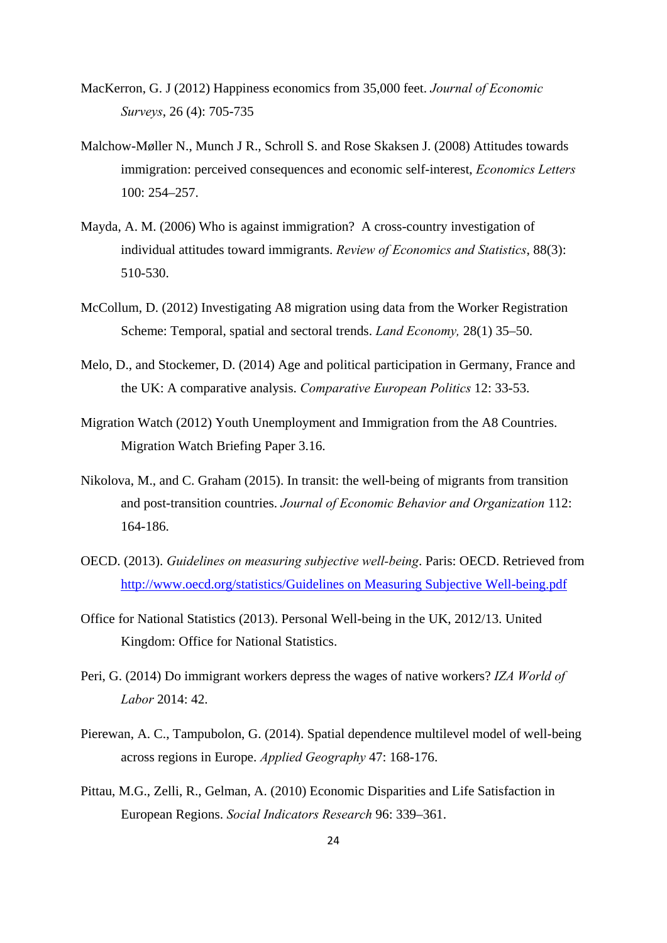- MacKerron, G. J (2012) Happiness economics from 35,000 feet. *Journal of Economic Surveys*, 26 (4): 705-735
- Malchow-Møller N., Munch J R., Schroll S. and Rose Skaksen J. (2008) Attitudes towards immigration: perceived consequences and economic self-interest, *Economics Letters* 100: 254–257.
- Mayda, A. M. (2006) Who is against immigration? A cross-country investigation of individual attitudes toward immigrants. *Review of Economics and Statistics*, 88(3): 510-530.
- McCollum, D. (2012) Investigating A8 migration using data from the Worker Registration Scheme: Temporal, spatial and sectoral trends. *Land Economy,* 28(1) 35–50.
- Melo, D., and Stockemer, D. (2014) Age and political participation in Germany, France and the UK: A comparative analysis. *Comparative European Politics* 12: 33-53.
- Migration Watch (2012) Youth Unemployment and Immigration from the A8 Countries. Migration Watch Briefing Paper 3.16.
- Nikolova, M., and C. Graham (2015). In transit: the well-being of migrants from transition and post-transition countries. *Journal of Economic Behavior and Organization* 112: 164-186.
- OECD. (2013). *Guidelines on measuring subjective well-being*. Paris: OECD. Retrieved from http://www.oecd.org/statistics/Guidelines on Measuring Subjective Well-being.pdf
- Office for National Statistics (2013). Personal Well-being in the UK, 2012/13. United Kingdom: Office for National Statistics.
- Peri, G. (2014) Do immigrant workers depress the wages of native workers? *IZA World of Labor* 2014: 42.
- Pierewan, A. C., Tampubolon, G. (2014). Spatial dependence multilevel model of well-being across regions in Europe. *Applied Geography* 47: 168-176.
- Pittau, M.G., Zelli, R., Gelman, A. (2010) Economic Disparities and Life Satisfaction in European Regions. *Social Indicators Research* 96: 339–361.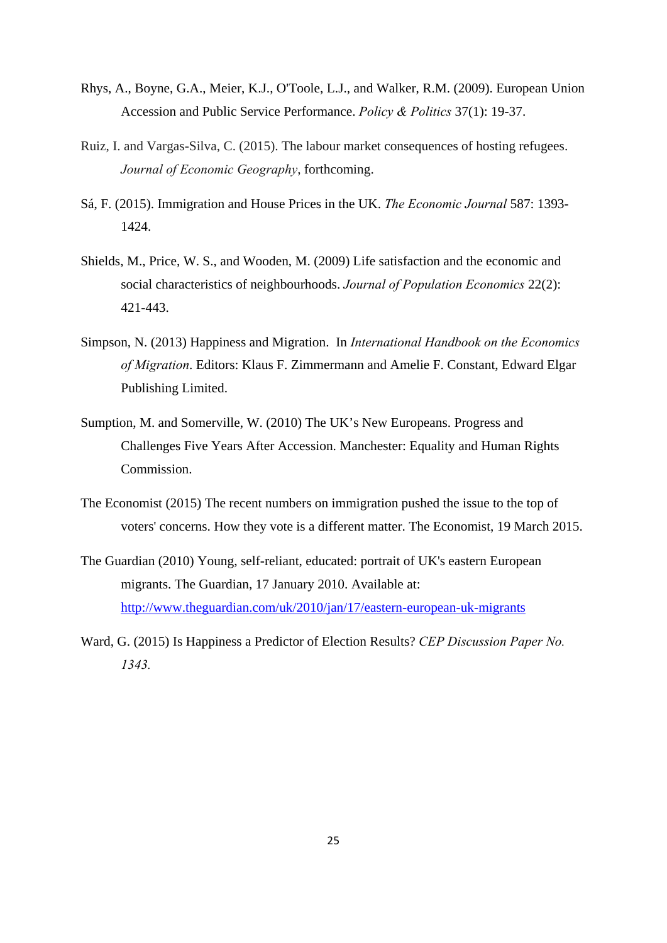- Rhys, A., Boyne, G.A., Meier, K.J., O'Toole, L.J., and Walker, R.M. (2009). European Union Accession and Public Service Performance. *Policy & Politics* 37(1): 19-37.
- Ruiz, I. and Vargas-Silva, C. (2015). The labour market consequences of hosting refugees. *Journal of Economic Geography*, forthcoming.
- Sá, F. (2015). Immigration and House Prices in the UK. *The Economic Journal* 587: 1393- 1424.
- Shields, M., Price, W. S., and Wooden, M. (2009) Life satisfaction and the economic and social characteristics of neighbourhoods. *Journal of Population Economics* 22(2): 421-443.
- Simpson, N. (2013) Happiness and Migration. In *International Handbook on the Economics of Migration*. Editors: Klaus F. Zimmermann and Amelie F. Constant, Edward Elgar Publishing Limited.
- Sumption, M. and Somerville, W. (2010) The UK's New Europeans. Progress and Challenges Five Years After Accession. Manchester: Equality and Human Rights Commission.
- The Economist (2015) The recent numbers on immigration pushed the issue to the top of voters' concerns. How they vote is a different matter. The Economist, 19 March 2015.
- The Guardian (2010) Young, self-reliant, educated: portrait of UK's eastern European migrants. The Guardian, 17 January 2010. Available at: http://www.theguardian.com/uk/2010/jan/17/eastern-european-uk-migrants
- Ward, G. (2015) Is Happiness a Predictor of Election Results? *CEP Discussion Paper No. 1343.*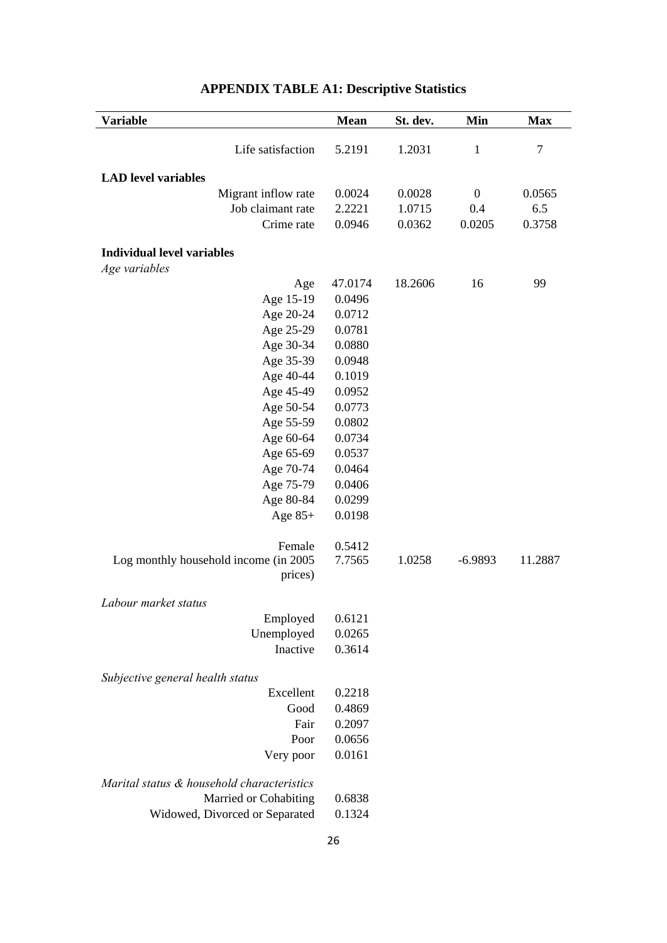| Variable                                           | <b>Mean</b> | St. dev. | Min              | <b>Max</b> |
|----------------------------------------------------|-------------|----------|------------------|------------|
|                                                    |             |          |                  |            |
| Life satisfaction                                  | 5.2191      | 1.2031   | $\mathbf{1}$     | $\tau$     |
| <b>LAD</b> level variables                         |             |          |                  |            |
| Migrant inflow rate                                | 0.0024      | 0.0028   | $\boldsymbol{0}$ | 0.0565     |
| Job claimant rate                                  | 2.2221      | 1.0715   | 0.4              | 6.5        |
| Crime rate                                         | 0.0946      | 0.0362   | 0.0205           | 0.3758     |
|                                                    |             |          |                  |            |
| <b>Individual level variables</b><br>Age variables |             |          |                  |            |
| Age                                                | 47.0174     | 18.2606  | 16               | 99         |
| Age 15-19                                          | 0.0496      |          |                  |            |
| Age 20-24                                          | 0.0712      |          |                  |            |
| Age 25-29                                          | 0.0781      |          |                  |            |
| Age 30-34                                          | 0.0880      |          |                  |            |
| Age 35-39                                          | 0.0948      |          |                  |            |
| Age 40-44                                          | 0.1019      |          |                  |            |
| Age 45-49                                          | 0.0952      |          |                  |            |
| Age 50-54                                          | 0.0773      |          |                  |            |
| Age 55-59                                          | 0.0802      |          |                  |            |
| Age 60-64                                          | 0.0734      |          |                  |            |
| Age 65-69                                          | 0.0537      |          |                  |            |
| Age 70-74                                          | 0.0464      |          |                  |            |
| Age 75-79                                          | 0.0406      |          |                  |            |
| Age 80-84                                          | 0.0299      |          |                  |            |
| Age $85+$                                          | 0.0198      |          |                  |            |
| Female                                             | 0.5412      |          |                  |            |
| Log monthly household income (in 2005)             | 7.7565      | 1.0258   | $-6.9893$        | 11.2887    |
| prices)                                            |             |          |                  |            |
| Labour market status                               |             |          |                  |            |
| Employed                                           | 0.6121      |          |                  |            |
| Unemployed                                         | 0.0265      |          |                  |            |
| Inactive                                           | 0.3614      |          |                  |            |
| Subjective general health status                   |             |          |                  |            |
| Excellent                                          | 0.2218      |          |                  |            |
| Good                                               | 0.4869      |          |                  |            |
| Fair                                               | 0.2097      |          |                  |            |
| Poor                                               | 0.0656      |          |                  |            |
| Very poor                                          | 0.0161      |          |                  |            |
| Marital status & household characteristics         |             |          |                  |            |
| Married or Cohabiting                              | 0.6838      |          |                  |            |
| Widowed, Divorced or Separated                     | 0.1324      |          |                  |            |
|                                                    |             |          |                  |            |

# **APPENDIX TABLE A1: Descriptive Statistics**